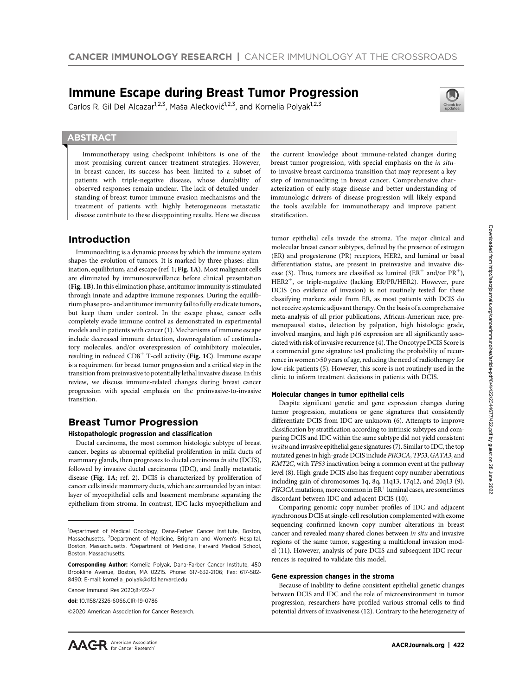# Immune Escape during Breast Tumor Progression

Carlos R. Gil Del Alcazar<sup>1,2,3</sup>, Maša Alečković<sup>1,2,3</sup>, and Kornelia Polyak<sup>1,2,3</sup>



# **ABSTRACT**

◥

Immunotherapy using checkpoint inhibitors is one of the most promising current cancer treatment strategies. However, in breast cancer, its success has been limited to a subset of patients with triple-negative disease, whose durability of observed responses remain unclear. The lack of detailed understanding of breast tumor immune evasion mechanisms and the treatment of patients with highly heterogeneous metastatic disease contribute to these disappointing results. Here we discuss

# Introduction

Immunoediting is a dynamic process by which the immune system shapes the evolution of tumors. It is marked by three phases: elimination, equilibrium, and escape (ref. 1; Fig. 1A). Most malignant cells are eliminated by immunosurveillance before clinical presentation (Fig. 1B). In this elimination phase, antitumor immunity is stimulated through innate and adaptive immune responses. During the equilibrium phase pro- and antitumor immunity fail to fully eradicate tumors, but keep them under control. In the escape phase, cancer cells completely evade immune control as demonstrated in experimental models and in patients with cancer (1). Mechanisms of immune escape include decreased immune detection, downregulation of costimulatory molecules, and/or overexpression of coinhibitory molecules, resulting in reduced  $CDS<sup>+</sup>$  T-cell activity (Fig. 1C). Immune escape is a requirement for breast tumor progression and a critical step in the transition from preinvasive to potentially lethal invasive disease. In this review, we discuss immune-related changes during breast cancer progression with special emphasis on the preinvasive-to-invasive transition.

# Breast Tumor Progression

## Histopathologic progression and classification

Ductal carcinoma, the most common histologic subtype of breast cancer, begins as abnormal epithelial proliferation in milk ducts of mammary glands, then progresses to ductal carcinoma in situ (DCIS), followed by invasive ductal carcinoma (IDC), and finally metastatic disease (Fig. 1A; ref. 2). DCIS is characterized by proliferation of cancer cells inside mammary ducts, which are surrounded by an intact layer of myoepithelial cells and basement membrane separating the epithelium from stroma. In contrast, IDC lacks myoepithelium and

Cancer Immunol Res 2020;8:422–7

2020 American Association for Cancer Research.

the current knowledge about immune-related changes during breast tumor progression, with special emphasis on the in situto-invasive breast carcinoma transition that may represent a key step of immunoediting in breast cancer. Comprehensive characterization of early-stage disease and better understanding of immunologic drivers of disease progression will likely expand the tools available for immunotherapy and improve patient stratification.

tumor epithelial cells invade the stroma. The major clinical and molecular breast cancer subtypes, defined by the presence of estrogen (ER) and progesterone (PR) receptors, HER2, and luminal or basal differentiation status, are present in preinvasive and invasive disease (3). Thus, tumors are classified as luminal ( $ER^+$  and/or  $PR^+$ ), HER2<sup>+</sup>, or triple-negative (lacking ER/PR/HER2). However, pure DCIS (no evidence of invasion) is not routinely tested for these classifying markers aside from ER, as most patients with DCIS do not receive systemic adjuvant therapy. On the basis of a comprehensive meta-analysis of all prior publications, African-American race, premenopausal status, detection by palpation, high histologic grade, involved margins, and high p16 expression are all significantly associated with risk of invasive recurrence (4). The Oncotype DCIS Score is a commercial gene signature test predicting the probability of recurrence in women >50 years of age, reducing the need of radiotherapy for low-risk patients (5). However, this score is not routinely used in the clinic to inform treatment decisions in patients with DCIS.

## Molecular changes in tumor epithelial cells

Despite significant genetic and gene expression changes during tumor progression, mutations or gene signatures that consistently differentiate DCIS from IDC are unknown (6). Attempts to improve classification by stratification according to intrinsic subtypes and comparing DCIS and IDC within the same subtype did not yield consistent in situ and invasive epithelial gene signatures (7). Similar to IDC, the top mutated genes in high-grade DCIS include PIK3CA, TP53, GATA3, and KMT2C, with TP53 inactivation being a common event at the pathway level (8). High-grade DCIS also has frequent copy number aberrations including gain of chromosomes 1q, 8q, 11q13, 17q12, and 20q13 (9).  $PIK3CA$  mutations, more common in  $ER^+$  luminal cases, are sometimes discordant between IDC and adjacent DCIS (10).

Comparing genomic copy number profiles of IDC and adjacent synchronous DCIS at single-cell resolution complemented with exome sequencing confirmed known copy number alterations in breast cancer and revealed many shared clones between in situ and invasive regions of the same tumor, suggesting a multiclonal invasion model (11). However, analysis of pure DCIS and subsequent IDC recurrences is required to validate this model.

#### Gene expression changes in the stroma

Because of inability to define consistent epithelial genetic changes between DCIS and IDC and the role of microenvironment in tumor progression, researchers have profiled various stromal cells to find potential drivers of invasiveness (12). Contrary to the heterogeneity of

<sup>&</sup>lt;sup>1</sup>Department of Medical Oncology, Dana-Farber Cancer Institute, Boston, Massachusetts. <sup>2</sup>Department of Medicine, Brigham and Women's Hospital, Boston, Massachusetts. <sup>3</sup>Department of Medicine, Harvard Medical School, Boston, Massachusetts.

Corresponding Author: Kornelia Polyak, Dana-Farber Cancer Institute, 450 Brookline Avenue, Boston, MA 02215. Phone: 617-632-2106; Fax: 617-582- 8490; E-mail: kornelia\_polyak@dfci.harvard.edu

doi: 10.1158/2326-6066.CIR-19-0786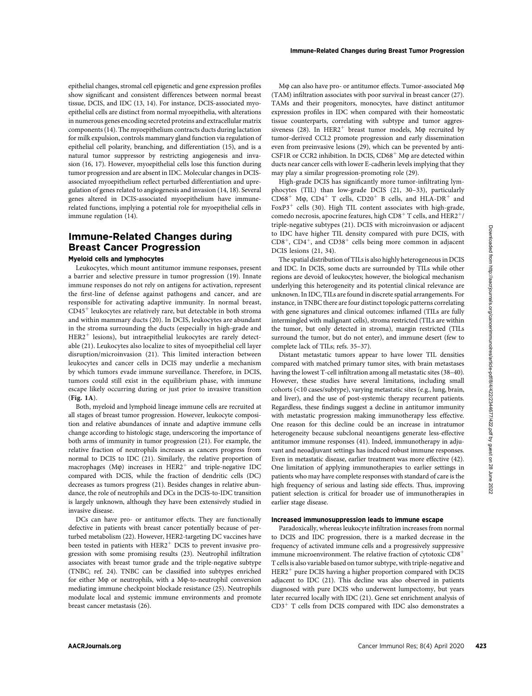epithelial changes, stromal cell epigenetic and gene expression profiles show significant and consistent differences between normal breast tissue, DCIS, and IDC (13, 14). For instance, DCIS-associated myoepithelial cells are distinct from normal myoepithelia, with alterations in numerous genes encoding secreted proteins and extracellular matrix components (14). The myoepithelium contracts ducts during lactation for milk expulsion, controls mammary gland function via regulation of epithelial cell polarity, branching, and differentiation (15), and is a natural tumor suppressor by restricting angiogenesis and invasion (16, 17). However, myoepithelial cells lose this function during tumor progression and are absent in IDC. Molecular changes in DCISassociated myoepithelium reflect perturbed differentiation and upregulation of genes related to angiogenesis and invasion (14, 18). Several genes altered in DCIS-associated myoepithelium have immune-

# Immune-Related Changes during Breast Cancer Progression

related functions, implying a potential role for myoepithelial cells in

## Myeloid cells and lymphocytes

immune regulation (14).

Leukocytes, which mount antitumor immune responses, present a barrier and selective pressure in tumor progression (19). Innate immune responses do not rely on antigens for activation, represent the first-line of defense against pathogens and cancer, and are responsible for activating adaptive immunity. In normal breast,  $CD45<sup>+</sup>$  leukocytes are relatively rare, but detectable in both stroma and within mammary ducts (20). In DCIS, leukocytes are abundant in the stroma surrounding the ducts (especially in high-grade and  $HER2<sup>+</sup>$  lesions), but intraepithelial leukocytes are rarely detectable (21). Leukocytes also localize to sites of myoepithelial cell layer disruption/microinvasion (21). This limited interaction between leukocytes and cancer cells in DCIS may underlie a mechanism by which tumors evade immune surveillance. Therefore, in DCIS, tumors could still exist in the equilibrium phase, with immune escape likely occurring during or just prior to invasive transition (Fig. 1A).

Both, myeloid and lymphoid lineage immune cells are recruited at all stages of breast tumor progression. However, leukocyte composition and relative abundances of innate and adaptive immune cells change according to histologic stage, underscoring the importance of both arms of immunity in tumor progression (21). For example, the relative fraction of neutrophils increases as cancers progress from normal to DCIS to IDC (21). Similarly, the relative proportion of macrophages (M $\varphi$ ) increases in HER2<sup>+</sup> and triple-negative IDC compared with DCIS, while the fraction of dendritic cells (DC) decreases as tumors progress (21). Besides changes in relative abundance, the role of neutrophils and DCs in the DCIS-to-IDC transition is largely unknown, although they have been extensively studied in invasive disease.

DCs can have pro- or antitumor effects. They are functionally defective in patients with breast cancer potentially because of perturbed metabolism (22). However, HER2-targeting DC vaccines have been tested in patients with  $HER2<sup>+</sup>$  DCIS to prevent invasive progression with some promising results (23). Neutrophil infiltration associates with breast tumor grade and the triple-negative subtype (TNBC; ref. 24). TNBC can be classified into subtypes enriched for either  $M\varphi$  or neutrophils, with a  $M\varphi$ -to-neutrophil conversion mediating immune checkpoint blockade resistance (25). Neutrophils modulate local and systemic immune environments and promote breast cancer metastasis (26).

Mo can also have pro- or antitumor effects. Tumor-associated Mo (TAM) infiltration associates with poor survival in breast cancer (27). TAMs and their progenitors, monocytes, have distinct antitumor expression profiles in IDC when compared with their homeostatic tissue counterparts, correlating with subtype and tumor aggressiveness (28). In HER2<sup>+</sup> breast tumor models, M $\varphi$  recruited by tumor-derived CCL2 promote progression and early dissemination even from preinvasive lesions (29), which can be prevented by anti-CSF1R or CCR2 inhibition. In DCIS,  $CD68<sup>+</sup>$  M $\phi$  are detected within ducts near cancer cells with lower E-cadherin levels implying that they may play a similar progression-promoting role (29).

High-grade DCIS has significantly more tumor-infiltrating lymphocytes (TIL) than low-grade DCIS (21, 30–33), particularly  $CD68<sup>+</sup>$  M $\phi$ ,  $CD4<sup>+</sup>$  T cells,  $CD20<sup>+</sup>$  B cells, and HLA-DR<sup>+</sup> and FoxP3<sup>+</sup> cells (30). High TIL content associates with high-grade, comedo necrosis, apocrine features, high CD8<sup>+</sup> T cells, and HER2<sup>+</sup>/ triple-negative subtypes (21). DCIS with microinvasion or adjacent to IDC have higher TIL density compared with pure DCIS, with  $CD8^+$ ,  $CD4^+$ , and  $CD38^+$  cells being more common in adjacent DCIS lesions (21, 34).

The spatial distribution of TILs is also highly heterogeneous in DCIS and IDC. In DCIS, some ducts are surrounded by TILs while other regions are devoid of leukocytes; however, the biological mechanism underlying this heterogeneity and its potential clinical relevance are unknown. In IDC, TILs are found in discrete spatial arrangements. For instance, in TNBC there are four distinct topologic patterns correlating with gene signatures and clinical outcomes: inflamed (TILs are fully intermingled with malignant cells), stroma restricted (TILs are within the tumor, but only detected in stroma), margin restricted (TILs surround the tumor, but do not enter), and immune desert (few to complete lack of TILs; refs. 35–37).

Distant metastatic tumors appear to have lower TIL densities compared with matched primary tumor sites, with brain metastases having the lowest T-cell infiltration among all metastatic sites (38–40). However, these studies have several limitations, including small cohorts (<10 cases/subtype), varying metastatic sites (e.g., lung, brain, and liver), and the use of post-systemic therapy recurrent patients. Regardless, these findings suggest a decline in antitumor immunity with metastatic progression making immunotherapy less effective. One reason for this decline could be an increase in intratumor heterogeneity because subclonal neoantigens generate less-effective antitumor immune responses (41). Indeed, immunotherapy in adjuvant and neoadjuvant settings has induced robust immune responses. Even in metastatic disease, earlier treatment was more effective (42). One limitation of applying immunotherapies to earlier settings in patients who may have complete responses with standard of care is the high frequency of serious and lasting side effects. Thus, improving patient selection is critical for broader use of immunotherapies in earlier stage disease.

## Increased immunosuppression leads to immune escape

Paradoxically, whereas leukocyte infiltration increases from normal to DCIS and IDC progression, there is a marked decrease in the frequency of activated immune cells and a progressively suppressive immune microenvironment. The relative fraction of cytotoxic  $CD8<sup>+</sup>$ T cells is also variable based on tumor subtype, with triple-negative and  $HER2<sup>+</sup>$  pure DCIS having a higher proportion compared with DCIS adjacent to IDC (21). This decline was also observed in patients diagnosed with pure DCIS who underwent lumpectomy, but years later recurred locally with IDC (21). Gene set enrichment analysis of  $CD3<sup>+</sup>$  T cells from DCIS compared with IDC also demonstrates a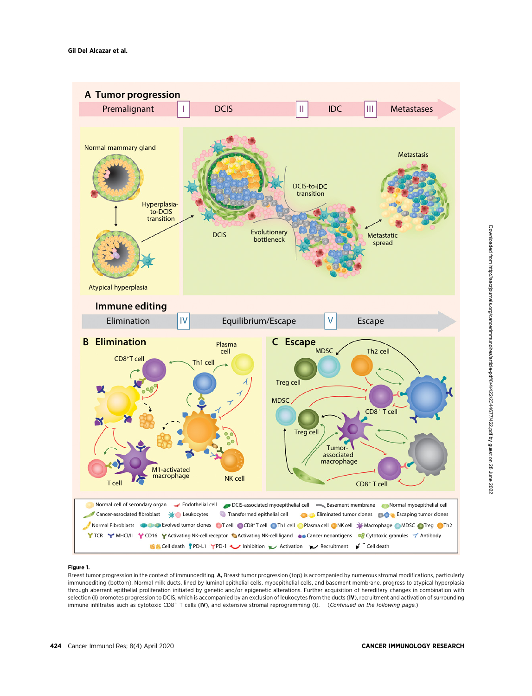

#### Figure 1.

Breast tumor progression in the context of immunoediting. A, Breast tumor progression (top) is accompanied by numerous stromal modifications, particularly immunoediting (bottom). Normal milk ducts, lined by luminal epithelial cells, myoepithelial cells, and basement membrane, progress to atypical hyperplasia through aberrant epithelial proliferation initiated by genetic and/or epigenetic alterations. Further acquisition of hereditary changes in combination with selection (I) promotes progression to DCIS, which is accompanied by an exclusion of leukocytes from the ducts (IV), recruitment and activation of surrounding immune infiltrates such as cytotoxic CD8<sup>+</sup> T cells (IV), and extensive stromal reprogramming (I). (Continued on the following page.)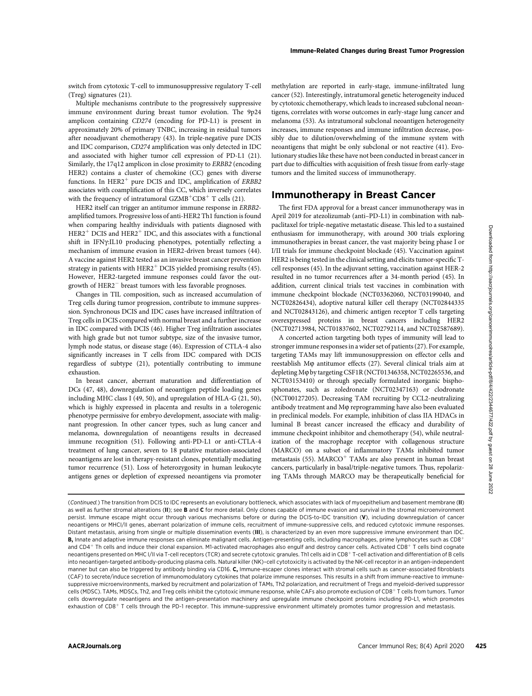switch from cytotoxic T-cell to immunosuppressive regulatory T-cell (Treg) signatures (21).

Multiple mechanisms contribute to the progressively suppressive immune environment during breast tumor evolution. The 9p24 amplicon containing CD274 (encoding for PD-L1) is present in approximately 20% of primary TNBC, increasing in residual tumors after neoadjuvant chemotherapy (43). In triple-negative pure DCIS and IDC comparison, CD274 amplification was only detected in IDC and associated with higher tumor cell expression of PD-L1 (21). Similarly, the 17q12 amplicon in close proximity to ERBB2 (encoding HER2) contains a cluster of chemokine (CC) genes with diverse functions. In HER2<sup>+</sup> pure DCIS and IDC, amplification of  $ERBB2$ associates with coamplification of this CC, which inversely correlates with the frequency of intratumoral  $GZMB<sup>+</sup>CD8<sup>+</sup>$  T cells (21).

HER2 itself can trigger an antitumor immune response in ERBB2 amplified tumors. Progressive loss of anti-HER2 Th1 function is found when comparing healthy individuals with patients diagnosed with  $HER2<sup>+</sup> DCIS$  and  $HER2<sup>+</sup> IDC$ , and this associates with a functional shift in IFN $\gamma$ :IL10 producing phenotypes, potentially reflecting a mechanism of immune evasion in HER2-driven breast tumors (44). A vaccine against HER2 tested as an invasive breast cancer prevention strategy in patients with HER2<sup>+</sup> DCIS yielded promising results (45). However, HER2-targeted immune responses could favor the outgrowth of HER2- breast tumors with less favorable prognoses.

Changes in TIL composition, such as increased accumulation of Treg cells during tumor progression, contribute to immune suppression. Synchronous DCIS and IDC cases have increased infiltration of Treg cells in DCIS compared with normal breast and a further increase in IDC compared with DCIS (46). Higher Treg infiltration associates with high grade but not tumor subtype, size of the invasive tumor, lymph node status, or disease stage (46). Expression of CTLA-4 also significantly increases in T cells from IDC compared with DCIS regardless of subtype (21), potentially contributing to immune exhaustion.

In breast cancer, aberrant maturation and differentiation of DCs (47, 48), downregulation of neoantigen peptide loading genes including MHC class I (49, 50), and upregulation of HLA-G (21, 50), which is highly expressed in placenta and results in a tolerogenic phenotype permissive for embryo development, associate with malignant progression. In other cancer types, such as lung cancer and melanoma, downregulation of neoantigens results in decreased immune recognition (51). Following anti-PD-L1 or anti-CTLA-4 treatment of lung cancer, seven to 18 putative mutation-associated neoantigens are lost in therapy-resistant clones, potentially mediating tumor recurrence (51). Loss of heterozygosity in human leukocyte antigens genes or depletion of expressed neoantigens via promoter methylation are reported in early-stage, immune-infiltrated lung cancer (52). Interestingly, intratumoral genetic heterogeneity induced by cytotoxic chemotherapy, which leads to increased subclonal neoantigens, correlates with worse outcomes in early-stage lung cancer and melanoma (53). As intratumoral subclonal neoantigen heterogeneity increases, immune responses and immune infiltration decrease, possibly due to dilution/overwhelming of the immune system with neoantigens that might be only subclonal or not reactive (41). Evolutionary studies like these have not been conducted in breast cancer in part due to difficulties with acquisition of fresh tissue from early-stage tumors and the limited success of immunotherapy.

## Immunotherapy in Breast Cancer

The first FDA approval for a breast cancer immunotherapy was in April 2019 for atezolizumab (anti–PD-L1) in combination with nabpaclitaxel for triple-negative metastatic disease. This led to a sustained enthusiasm for immunotherapy, with around 300 trials exploring immunotherapies in breast cancer, the vast majority being phase I or I/II trials for immune checkpoint blockade (45). Vaccination against HER2 is being tested in the clinical setting and elicits tumor-specific Tcell responses (45). In the adjuvant setting, vaccination against HER-2 resulted in no tumor recurrences after a 34-month period (45). In addition, current clinical trials test vaccines in combination with immune checkpoint blockade (NCT03362060, NCT03199040, and NCT02826434), adoptive natural killer cell therapy (NCT02844335 and NCT02843126), and chimeric antigen receptor T cells targeting overexpressed proteins in breast cancers including HER2 (NCT02713984, NCT01837602, NCT02792114, and NCT02587689).

A concerted action targeting both types of immunity will lead to stronger immune responses in a wider set of patients (27). For example, targeting TAMs may lift immunosuppression on effector cells and reestablish M $\varphi$  antitumor effects (27). Several clinical trials aim at depleting M $\phi$  by targeting CSF1R (NCT01346358, NCT02265536, and NCT03153410) or through specially formulated inorganic bisphosphonates, such as zoledronate (NCT02347163) or clodronate (NCT00127205). Decreasing TAM recruiting by CCL2-neutralizing antibody treatment and  $M\varphi$  reprogramming have also been evaluated in preclinical models. For example, inhibition of class IIA HDACs in luminal B breast cancer increased the efficacy and durability of immune checkpoint inhibitor and chemotherapy (54), while neutralization of the macrophage receptor with collagenous structure (MARCO) on a subset of inflammatory TAMs inhibited tumor metastasis (55).  $MARCO<sup>+</sup> TAMs$  are also present in human breast cancers, particularly in basal/triple-negative tumors. Thus, repolarizing TAMs through MARCO may be therapeutically beneficial for

<sup>(</sup>Continued.) The transition from DCIS to IDC represents an evolutionary bottleneck, which associates with lack of myoepithelium and basement membrane (II) as well as further stromal alterations (II); see B and C for more detail. Only clones capable of immune evasion and survival in the stromal microenvironment persist. Immune escape might occur through various mechanisms before or during the DCIS-to-IDC transition (V), including downregulation of cancer neoantigens or MHCI/II genes, aberrant polarization of immune cells, recruitment of immune-suppressive cells, and reduced cytotoxic immune responses. Distant metastasis, arising from single or multiple dissemination events (III), is characterized by an even more suppressive immune environment than IDC. B, Innate and adaptive immune responses can eliminate malignant cells. Antigen-presenting cells, including macrophages, prime lymphocytes such as CD8<sup>+</sup> and CD4<sup>+</sup> Th cells and induce their clonal expansion. M1-activated macrophages also engulf and destroy cancer cells. Activated CD8<sup>+</sup> T cells bind cognate neoantigens presented on MHC I/II via T-cell receptors (TCR) and secrete cytotoxic granules. Th1 cells aid in CD8+T-cell activation and differentiation of B cells into neoantigen-targeted antibody-producing plasma cells. Natural killer (NK)–cell cytotoxicity is activated by the NK-cell receptor in an antigen-independent manner but can also be triggered by antibody binding via CD16. C, Immune-escaper clones interact with stromal cells such as cancer-associated fibroblasts (CAF) to secrete/induce secretion of immunomodulatory cytokines that polarize immune responses. This results in a shift from immune-reactive to immunesuppressive microenvironments, marked by recruitment and polarization of TAMs, Th2 polarization, and recruitment of Tregs and myeloid-derived suppressor cells (MDSC). TAMs, MDSCs, Th2, and Treg cells inhibit the cytotoxic immune response, while CAFs also promote exclusion of CD8<sup>+</sup> T cells from tumors. Tumor cells downregulate neoantigens and the antigen-presentation machinery and upregulate immune checkpoint proteins including PD-L1, which promotes exhaustion of CD8<sup>+</sup> T cells through the PD-1 receptor. This immune-suppressive environment ultimately promotes tumor progression and metastasis.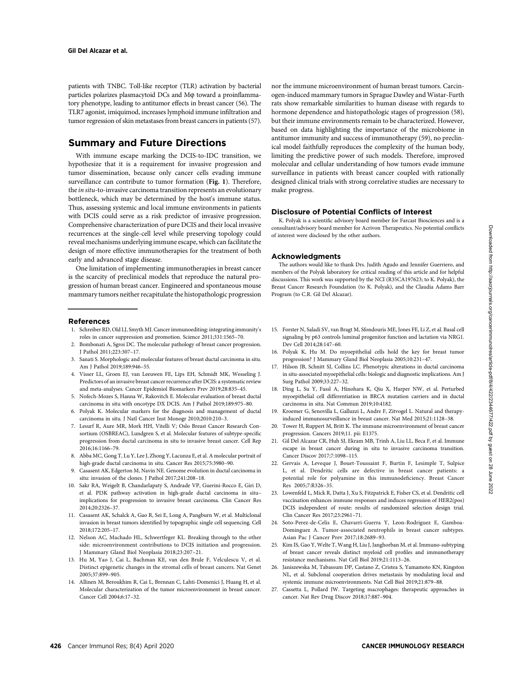patients with TNBC. Toll-like receptor (TLR) activation by bacterial particles polarizes plasmacytoid DCs and M $\varphi$  toward a proinflammatory phenotype, leading to antitumor effects in breast cancer (56). The TLR7 agonist, imiquimod, increases lymphoid immune infiltration and tumor regression of skin metastases from breast cancers in patients (57).

## Summary and Future Directions

With immune escape marking the DCIS-to-IDC transition, we hypothesize that it is a requirement for invasive progression and tumor dissemination, because only cancer cells evading immune surveillance can contribute to tumor formation (Fig. 1). Therefore, the in situ-to-invasive carcinoma transition represents an evolutionary bottleneck, which may be determined by the host's immune status. Thus, assessing systemic and local immune environments in patients with DCIS could serve as a risk predictor of invasive progression. Comprehensive characterization of pure DCIS and their local invasive recurrences at the single-cell level while preserving topology could reveal mechanisms underlying immune escape, which can facilitate the design of more effective immunotherapies for the treatment of both early and advanced stage disease.

One limitation of implementing immunotherapies in breast cancer is the scarcity of preclinical models that reproduce the natural progression of human breast cancer. Engineered and spontaneous mouse mammary tumors neither recapitulate the histopathologic progression

### References

- 1. Schreiber RD, Old LJ, Smyth MJ. Cancer immunoediting: integrating immunity's roles in cancer suppression and promotion. Science 2011;331:1565–70.
- 2. Bombonati A, Sgroi DC. The molecular pathology of breast cancer progression. J Pathol 2011;223:307–17.
- 3. Sanati S. Morphologic and molecular features of breast ductal carcinoma in situ. Am J Pathol 2019;189:946–55.
- 4. Visser LL, Groen EJ, van Leeuwen FE, Lips EH, Schmidt MK, Wesseling J. Predictors of an invasive breast cancer recurrence after DCIS: a systematic review and meta-analyses. Cancer Epidemiol Biomarkers Prev 2019;28:835–45.
- 5. Nofech-Mozes S, Hanna W, Rakovitch E. Molecular evaluation of breast ductal carcinoma in situ with oncotype DX DCIS. Am J Pathol 2019;189:975–80.
- 6. Polyak K. Molecular markers for the diagnosis and management of ductal carcinoma in situ. J Natl Cancer Inst Monogr 2010;2010:210–3.
- 7. Lesurf R, Aure MR, Mork HH, Vitelli V; Oslo Breast Cancer Research Consortium (OSBREAC), Lundgren S, et al. Molecular features of subtype-specific progression from ductal carcinoma in situ to invasive breast cancer. Cell Rep 2016;16:1166–79.
- 8. Abba MC, Gong T, Lu Y, Lee J, Zhong Y, Lacunza E, et al. A molecular portrait of high-grade ductal carcinoma in situ. Cancer Res 2015;75:3980–90.
- 9. Casasent AK, Edgerton M, Navin NE. Genome evolution in ductal carcinoma in situ: invasion of the clones. J Pathol 2017;241:208–18.
- 10. Sakr RA, Weigelt B, Chandarlapaty S, Andrade VP, Guerini-Rocco E, Giri D, et al. PI3K pathway activation in high-grade ductal carcinoma in situ– implications for progression to invasive breast carcinoma. Clin Cancer Res 2014;20:2326–37.
- 11. Casasent AK, Schalck A, Gao R, Sei E, Long A, Pangburn W, et al. Multiclonal invasion in breast tumors identified by topographic single cell sequencing. Cell 2018;172:205–17.
- 12. Nelson AC, Machado HL, Schwertfeger KL. Breaking through to the other side: microenvironment contributions to DCIS initiation and progression. J Mammary Gland Biol Neoplasia 2018;23:207–21.
- 13. Hu M, Yao J, Cai L, Bachman KE, van den Brule F, Velculescu V, et al. Distinct epigenetic changes in the stromal cells of breast cancers. Nat Genet 2005;37:899–905.
- 14. Allinen M, Beroukhim R, Cai L, Brennan C, Lahti-Domenici J, Huang H, et al. Molecular characterization of the tumor microenvironment in breast cancer. Cancer Cell 2004;6:17–32.

nor the immune microenvironment of human breast tumors. Carcinogen-induced mammary tumors in Sprague Dawley and Wistar-Furth rats show remarkable similarities to human disease with regards to hormone dependence and histopathologic stages of progression (58), but their immune environments remain to be characterized. However, based on data highlighting the importance of the microbiome in antitumor immunity and success of immunotherapy (59), no preclinical model faithfully reproduces the complexity of the human body, limiting the predictive power of such models. Therefore, improved molecular and cellular understanding of how tumors evade immune surveillance in patients with breast cancer coupled with rationally designed clinical trials with strong correlative studies are necessary to make progress.

## Disclosure of Potential Conflicts of Interest

K. Polyak is a scientific advisory board member for Farcast Biosciences and is a consultant/advisory board member for Acrivon Therapeutics. No potential conflicts of interest were disclosed by the other authors.

#### Acknowledgments

The authors would like to thank Drs. Judith Agudo and Jennifer Guerriero, and members of the Polyak laboratory for critical reading of this article and for helpful discussions. This work was supported by the NCI (R35CA197623; to K. Polyak), the Breast Cancer Research Foundation (to K. Polyak), and the Claudia Adams Barr Program (to C.R. Gil Del Alcazar).

- 15. Forster N, Saladi SV, van Bragt M, Sfondouris ME, Jones FE, Li Z, et al. Basal cell signaling by p63 controls luminal progenitor function and lactation via NRG1. Dev Cell 2014;28:147–60.
- 16. Polyak K, Hu M. Do myoepithelial cells hold the key for breast tumor progression? J Mammary Gland Biol Neoplasia 2005;10:231–47.
- 17. Hilson JB, Schnitt SJ, Collins LC. Phenotypic alterations in ductal carcinoma in situ-associated myoepithelial cells: biologic and diagnostic implications. Am J Surg Pathol 2009;33:227–32.
- 18. Ding L, Su Y, Fassl A, Hinohara K, Qiu X, Harper NW, et al. Perturbed myoepithelial cell differentiation in BRCA mutation carriers and in ductal carcinoma in situ. Nat Commun 2019;10:4182.
- 19. Kroemer G, Senovilla L, Galluzzi L, Andre F, Zitvogel L. Natural and therapyinduced immunosurveillance in breast cancer. Nat Med 2015;21:1128–38.
- 20. Tower H, Ruppert M, Britt K. The immune microenvironment of breast cancer progression. Cancers 2019;11. pii: E1375.
- 21. Gil Del Alcazar CR, Huh SJ, Ekram MB, Trinh A, Liu LL, Beca F, et al. Immune escape in breast cancer during in situ to invasive carcinoma transition. Cancer Discov 2017;7:1098–115.
- 22. Gervais A, Leveque J, Bouet-Toussaint F, Burtin F, Lesimple T, Sulpice L, et al. Dendritic cells are defective in breast cancer patients: a potential role for polyamine in this immunodeficiency. Breast Cancer Res 2005;7:R326–35.
- 23. Lowenfeld L, Mick R, Datta J, Xu S, Fitzpatrick E, Fisher CS, et al. Dendritic cell vaccination enhances immune responses and induces regression of HER2(pos) DCIS independent of route: results of randomized selection design trial. Clin Cancer Res 2017;23:2961–71.
- 24. Soto-Perez-de-Celis E, Chavarri-Guerra Y, Leon-Rodriguez E, Gamboa-Dominguez A. Tumor-associated neutrophils in breast cancer subtypes. Asian Pac J Cancer Prev 2017;18:2689–93.
- 25. Kim IS, Gao Y, Welte T, Wang H, Liu J, Janghorban M, et al. Immuno-subtyping of breast cancer reveals distinct myeloid cell profiles and immunotherapy resistance mechanisms. Nat Cell Biol 2019;21:1113–26.
- 26. Janiszewska M, Tabassum DP, Castano Z, Cristea S, Yamamoto KN, Kingston NL, et al. Subclonal cooperation drives metastasis by modulating local and systemic immune microenvironments. Nat Cell Biol 2019;21:879–88.
- 27. Cassetta L, Pollard JW. Targeting macrophages: therapeutic approaches in cancer. Nat Rev Drug Discov 2018;17:887–904.